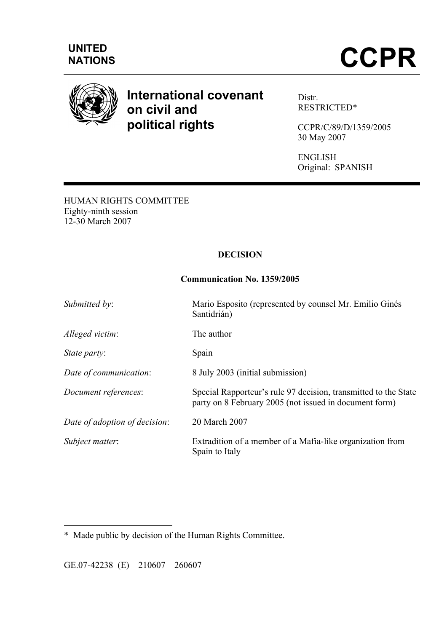

# **International covenant on civil and political rights**

Distr. RESTRICTED\*

CCPR/C/89/D/1359/2005 30 May 2007

ENGLISH Original: SPANISH

HUMAN RIGHTS COMMITTEE Eighty-ninth session 12-30 March 2007

# **DECISION**

## **Communication No. 1359/2005**

| Submitted by:                 | Mario Esposito (represented by counsel Mr. Emilio Ginés<br>Santidrián)                                                    |
|-------------------------------|---------------------------------------------------------------------------------------------------------------------------|
| Alleged victim:               | The author                                                                                                                |
| State party:                  | Spain                                                                                                                     |
| Date of communication:        | 8 July 2003 (initial submission)                                                                                          |
| Document references:          | Special Rapporteur's rule 97 decision, transmitted to the State<br>party on 8 February 2005 (not issued in document form) |
| Date of adoption of decision: | 20 March 2007                                                                                                             |
| Subject matter:               | Extradition of a member of a Mafia-like organization from<br>Spain to Italy                                               |

GE.07-42238 (E) 210607 260607

 $\overline{a}$ 

<sup>\*</sup>Made public by decision of the Human Rights Committee.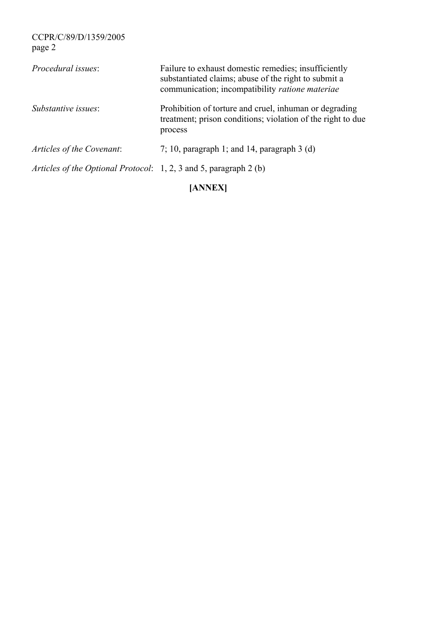| Procedural issues:                                                | Failure to exhaust domestic remedies; insufficiently<br>substantiated claims; abuse of the right to submit a<br>communication; incompatibility ratione materiae |
|-------------------------------------------------------------------|-----------------------------------------------------------------------------------------------------------------------------------------------------------------|
| Substantive issues:                                               | Prohibition of torture and cruel, inhuman or degrading<br>treatment; prison conditions; violation of the right to due<br>process                                |
| Articles of the Covenant:                                         | 7; 10, paragraph 1; and 14, paragraph 3 (d)                                                                                                                     |
| Articles of the Optional Protocol: 1, 2, 3 and 5, paragraph 2 (b) |                                                                                                                                                                 |

**[ANNEX]**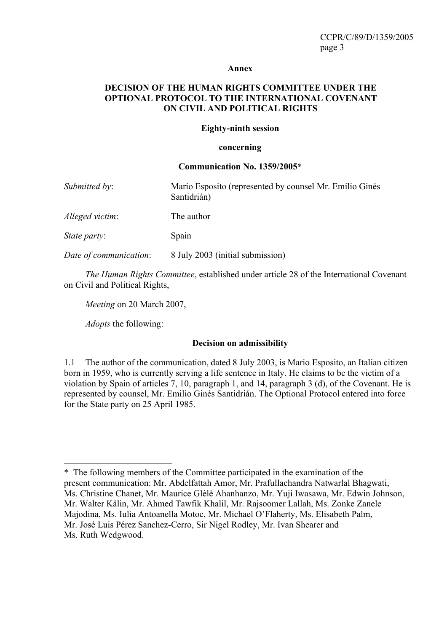#### **Annex**

#### **DECISION OF THE HUMAN RIGHTS COMMITTEE UNDER THE OPTIONAL PROTOCOL TO THE INTERNATIONAL COVENANT ON CIVIL AND POLITICAL RIGHTS**

#### **Eighty-ninth session**

#### **concerning**

#### **Communication No. 1359/2005**\*

| Submitted by:          | Mario Esposito (represented by counsel Mr. Emilio Ginés<br>Santidrián) |
|------------------------|------------------------------------------------------------------------|
| Alleged victim:        | The author                                                             |
| <i>State party:</i>    | Spain                                                                  |
| Date of communication: | 8 July 2003 (initial submission)                                       |

*The Human Rights Committee*, established under article 28 of the International Covenant on Civil and Political Rights,

*Meeting* on 20 March 2007,

*Adopts* the following:

 $\overline{a}$ 

#### **Decision on admissibility**

1.1 The author of the communication, dated 8 July 2003, is Mario Esposito, an Italian citizen born in 1959, who is currently serving a life sentence in Italy. He claims to be the victim of a violation by Spain of articles 7, 10, paragraph 1, and 14, paragraph 3 (d), of the Covenant. He is represented by counsel, Mr. Emilio Ginés Santidrián. The Optional Protocol entered into force for the State party on 25 April 1985.

<sup>\*</sup> The following members of the Committee participated in the examination of the present communication: Mr. Abdelfattah Amor, Mr. Prafullachandra Natwarlal Bhagwati, Ms. Christine Chanet, Mr. Maurice Glèlè Ahanhanzo, Mr. Yuji Iwasawa, Mr. Edwin Johnson, Mr. Walter Kälin, Mr. Ahmed Tawfik Khalil, Mr. Rajsoomer Lallah, Ms. Zonke Zanele Majodina, Ms. Iulia Antoanella Motoc, Mr. Michael O'Flaherty, Ms. Elisabeth Palm, Mr. José Luis Pérez Sanchez-Cerro, Sir Nigel Rodley, Mr. Ivan Shearer and Ms. Ruth Wedgwood.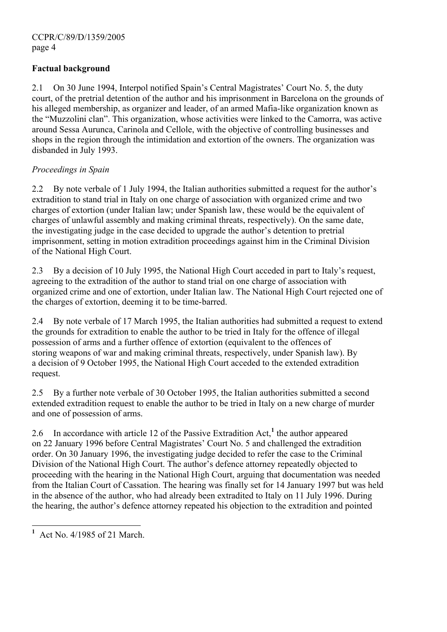## **Factual background**

2.1 On 30 June 1994, Interpol notified Spain's Central Magistrates' Court No. 5, the duty court, of the pretrial detention of the author and his imprisonment in Barcelona on the grounds of his alleged membership, as organizer and leader, of an armed Mafia-like organization known as the "Muzzolini clan". This organization, whose activities were linked to the Camorra, was active around Sessa Aurunca, Carinola and Cellole, with the objective of controlling businesses and shops in the region through the intimidation and extortion of the owners. The organization was disbanded in July 1993.

## *Proceedings in Spain*

2.2 By note verbale of 1 July 1994, the Italian authorities submitted a request for the author's extradition to stand trial in Italy on one charge of association with organized crime and two charges of extortion (under Italian law; under Spanish law, these would be the equivalent of charges of unlawful assembly and making criminal threats, respectively). On the same date, the investigating judge in the case decided to upgrade the author's detention to pretrial imprisonment, setting in motion extradition proceedings against him in the Criminal Division of the National High Court.

2.3 By a decision of 10 July 1995, the National High Court acceded in part to Italy's request, agreeing to the extradition of the author to stand trial on one charge of association with organized crime and one of extortion, under Italian law. The National High Court rejected one of the charges of extortion, deeming it to be time-barred.

2.4 By note verbale of 17 March 1995, the Italian authorities had submitted a request to extend the grounds for extradition to enable the author to be tried in Italy for the offence of illegal possession of arms and a further offence of extortion (equivalent to the offences of storing weapons of war and making criminal threats, respectively, under Spanish law). By a decision of 9 October 1995, the National High Court acceded to the extended extradition request.

2.5 By a further note verbale of 30 October 1995, the Italian authorities submitted a second extended extradition request to enable the author to be tried in Italy on a new charge of murder and one of possession of arms.

2.6 In accordance with article 12 of the Passive Extradition Act,**<sup>1</sup>** the author appeared on 22 January 1996 before Central Magistrates' Court No. 5 and challenged the extradition order. On 30 January 1996, the investigating judge decided to refer the case to the Criminal Division of the National High Court. The author's defence attorney repeatedly objected to proceeding with the hearing in the National High Court, arguing that documentation was needed from the Italian Court of Cassation. The hearing was finally set for 14 January 1997 but was held in the absence of the author, who had already been extradited to Italy on 11 July 1996. During the hearing, the author's defence attorney repeated his objection to the extradition and pointed

 $\overline{a}$ 

**<sup>1</sup>** Act No. 4/1985 of 21 March.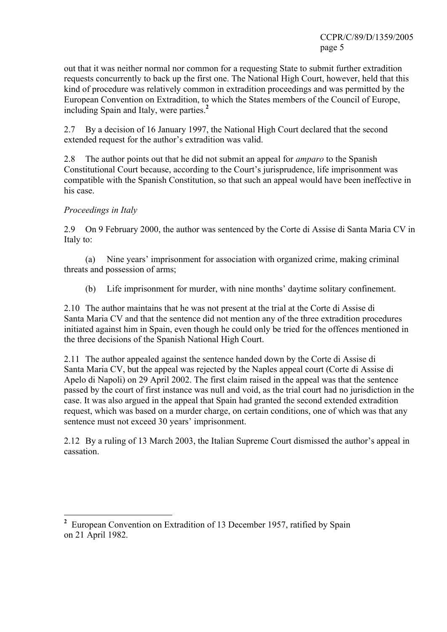out that it was neither normal nor common for a requesting State to submit further extradition requests concurrently to back up the first one. The National High Court, however, held that this kind of procedure was relatively common in extradition proceedings and was permitted by the European Convention on Extradition, to which the States members of the Council of Europe, including Spain and Italy, were parties.**<sup>2</sup>**

2.7 By a decision of 16 January 1997, the National High Court declared that the second extended request for the author's extradition was valid.

2.8 The author points out that he did not submit an appeal for *amparo* to the Spanish Constitutional Court because, according to the Court's jurisprudence, life imprisonment was compatible with the Spanish Constitution, so that such an appeal would have been ineffective in his case.

## *Proceedings in Italy*

2.9 On 9 February 2000, the author was sentenced by the Corte di Assise di Santa Maria CV in Italy to:

(a) Nine years' imprisonment for association with organized crime, making criminal threats and possession of arms;

(b) Life imprisonment for murder, with nine months' daytime solitary confinement.

2.10 The author maintains that he was not present at the trial at the Corte di Assise di Santa Maria CV and that the sentence did not mention any of the three extradition procedures initiated against him in Spain, even though he could only be tried for the offences mentioned in the three decisions of the Spanish National High Court.

2.11 The author appealed against the sentence handed down by the Corte di Assise di Santa Maria CV, but the appeal was rejected by the Naples appeal court (Corte di Assise di Apelo di Napoli) on 29 April 2002. The first claim raised in the appeal was that the sentence passed by the court of first instance was null and void, as the trial court had no jurisdiction in the case. It was also argued in the appeal that Spain had granted the second extended extradition request, which was based on a murder charge, on certain conditions, one of which was that any sentence must not exceed 30 years' imprisonment.

2.12 By a ruling of 13 March 2003, the Italian Supreme Court dismissed the author's appeal in cassation.

<sup>&</sup>lt;sup>2</sup> European Convention on Extradition of 13 December 1957, ratified by Spain on 21 April 1982.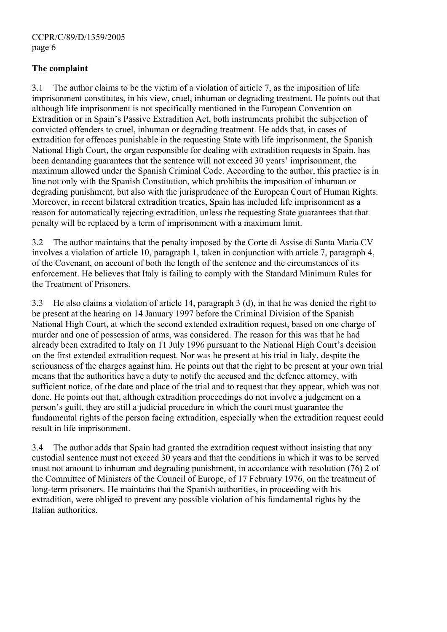## **The complaint**

3.1 The author claims to be the victim of a violation of article 7, as the imposition of life imprisonment constitutes, in his view, cruel, inhuman or degrading treatment. He points out that although life imprisonment is not specifically mentioned in the European Convention on Extradition or in Spain's Passive Extradition Act, both instruments prohibit the subjection of convicted offenders to cruel, inhuman or degrading treatment. He adds that, in cases of extradition for offences punishable in the requesting State with life imprisonment, the Spanish National High Court, the organ responsible for dealing with extradition requests in Spain, has been demanding guarantees that the sentence will not exceed 30 years' imprisonment, the maximum allowed under the Spanish Criminal Code. According to the author, this practice is in line not only with the Spanish Constitution, which prohibits the imposition of inhuman or degrading punishment, but also with the jurisprudence of the European Court of Human Rights. Moreover, in recent bilateral extradition treaties, Spain has included life imprisonment as a reason for automatically rejecting extradition, unless the requesting State guarantees that that penalty will be replaced by a term of imprisonment with a maximum limit.

3.2 The author maintains that the penalty imposed by the Corte di Assise di Santa Maria CV involves a violation of article 10, paragraph 1, taken in conjunction with article 7, paragraph 4, of the Covenant, on account of both the length of the sentence and the circumstances of its enforcement. He believes that Italy is failing to comply with the Standard Minimum Rules for the Treatment of Prisoners.

3.3 He also claims a violation of article 14, paragraph 3 (d), in that he was denied the right to be present at the hearing on 14 January 1997 before the Criminal Division of the Spanish National High Court, at which the second extended extradition request, based on one charge of murder and one of possession of arms, was considered. The reason for this was that he had already been extradited to Italy on 11 July 1996 pursuant to the National High Court's decision on the first extended extradition request. Nor was he present at his trial in Italy, despite the seriousness of the charges against him. He points out that the right to be present at your own trial means that the authorities have a duty to notify the accused and the defence attorney, with sufficient notice, of the date and place of the trial and to request that they appear, which was not done. He points out that, although extradition proceedings do not involve a judgement on a person's guilt, they are still a judicial procedure in which the court must guarantee the fundamental rights of the person facing extradition, especially when the extradition request could result in life imprisonment.

3.4 The author adds that Spain had granted the extradition request without insisting that any custodial sentence must not exceed 30 years and that the conditions in which it was to be served must not amount to inhuman and degrading punishment, in accordance with resolution (76) 2 of the Committee of Ministers of the Council of Europe, of 17 February 1976, on the treatment of long-term prisoners. He maintains that the Spanish authorities, in proceeding with his extradition, were obliged to prevent any possible violation of his fundamental rights by the Italian authorities.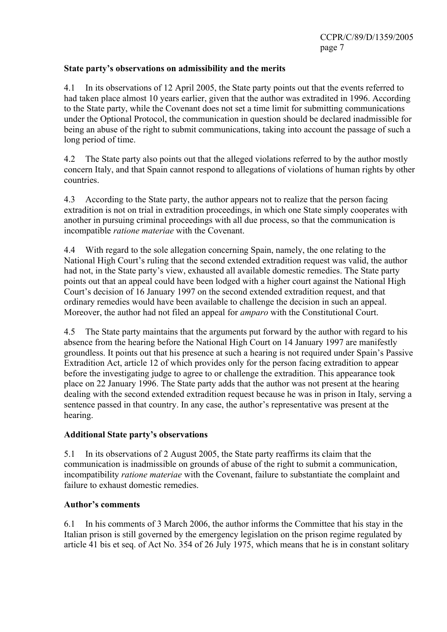## **State party's observations on admissibility and the merits**

4.1 In its observations of 12 April 2005, the State party points out that the events referred to had taken place almost 10 years earlier, given that the author was extradited in 1996. According to the State party, while the Covenant does not set a time limit for submitting communications under the Optional Protocol, the communication in question should be declared inadmissible for being an abuse of the right to submit communications, taking into account the passage of such a long period of time.

4.2 The State party also points out that the alleged violations referred to by the author mostly concern Italy, and that Spain cannot respond to allegations of violations of human rights by other countries.

4.3 According to the State party, the author appears not to realize that the person facing extradition is not on trial in extradition proceedings, in which one State simply cooperates with another in pursuing criminal proceedings with all due process, so that the communication is incompatible *ratione materiae* with the Covenant.

4.4 With regard to the sole allegation concerning Spain, namely, the one relating to the National High Court's ruling that the second extended extradition request was valid, the author had not, in the State party's view, exhausted all available domestic remedies. The State party points out that an appeal could have been lodged with a higher court against the National High Court's decision of 16 January 1997 on the second extended extradition request, and that ordinary remedies would have been available to challenge the decision in such an appeal. Moreover, the author had not filed an appeal for *amparo* with the Constitutional Court.

4.5 The State party maintains that the arguments put forward by the author with regard to his absence from the hearing before the National High Court on 14 January 1997 are manifestly groundless. It points out that his presence at such a hearing is not required under Spain's Passive Extradition Act, article 12 of which provides only for the person facing extradition to appear before the investigating judge to agree to or challenge the extradition. This appearance took place on 22 January 1996. The State party adds that the author was not present at the hearing dealing with the second extended extradition request because he was in prison in Italy, serving a sentence passed in that country. In any case, the author's representative was present at the hearing.

## **Additional State party's observations**

5.1 In its observations of 2 August 2005, the State party reaffirms its claim that the communication is inadmissible on grounds of abuse of the right to submit a communication, incompatibility *ratione materiae* with the Covenant, failure to substantiate the complaint and failure to exhaust domestic remedies.

## **Author's comments**

6.1 In his comments of 3 March 2006, the author informs the Committee that his stay in the Italian prison is still governed by the emergency legislation on the prison regime regulated by article 41 bis et seq. of Act No. 354 of 26 July 1975, which means that he is in constant solitary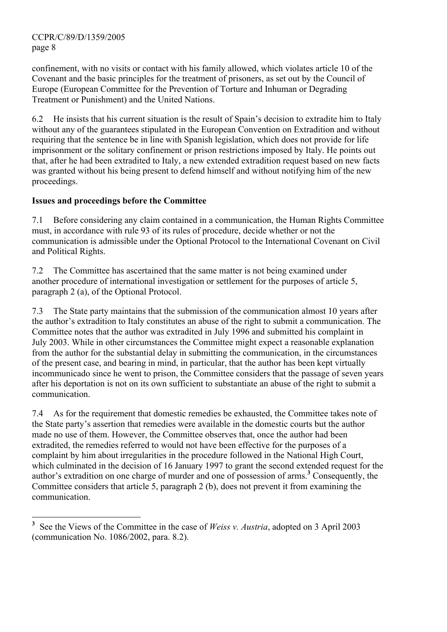$\overline{a}$ 

confinement, with no visits or contact with his family allowed, which violates article 10 of the Covenant and the basic principles for the treatment of prisoners, as set out by the Council of Europe (European Committee for the Prevention of Torture and Inhuman or Degrading Treatment or Punishment) and the United Nations.

6.2 He insists that his current situation is the result of Spain's decision to extradite him to Italy without any of the guarantees stipulated in the European Convention on Extradition and without requiring that the sentence be in line with Spanish legislation, which does not provide for life imprisonment or the solitary confinement or prison restrictions imposed by Italy. He points out that, after he had been extradited to Italy, a new extended extradition request based on new facts was granted without his being present to defend himself and without notifying him of the new proceedings.

## **Issues and proceedings before the Committee**

7.1 Before considering any claim contained in a communication, the Human Rights Committee must, in accordance with rule 93 of its rules of procedure, decide whether or not the communication is admissible under the Optional Protocol to the International Covenant on Civil and Political Rights.

7.2 The Committee has ascertained that the same matter is not being examined under another procedure of international investigation or settlement for the purposes of article 5, paragraph 2 (a), of the Optional Protocol.

7.3 The State party maintains that the submission of the communication almost 10 years after the author's extradition to Italy constitutes an abuse of the right to submit a communication. The Committee notes that the author was extradited in July 1996 and submitted his complaint in July 2003. While in other circumstances the Committee might expect a reasonable explanation from the author for the substantial delay in submitting the communication, in the circumstances of the present case, and bearing in mind, in particular, that the author has been kept virtually incommunicado since he went to prison, the Committee considers that the passage of seven years after his deportation is not on its own sufficient to substantiate an abuse of the right to submit a communication.

7.4 As for the requirement that domestic remedies be exhausted, the Committee takes note of the State party's assertion that remedies were available in the domestic courts but the author made no use of them. However, the Committee observes that, once the author had been extradited, the remedies referred to would not have been effective for the purposes of a complaint by him about irregularities in the procedure followed in the National High Court, which culminated in the decision of 16 January 1997 to grant the second extended request for the author's extradition on one charge of murder and one of possession of arms.**<sup>3</sup>** Consequently, the Committee considers that article 5, paragraph 2 (b), does not prevent it from examining the communication.

**<sup>3</sup>** See the Views of the Committee in the case of *Weiss v. Austria*, adopted on 3 April 2003 (communication No. 1086/2002, para. 8.2).